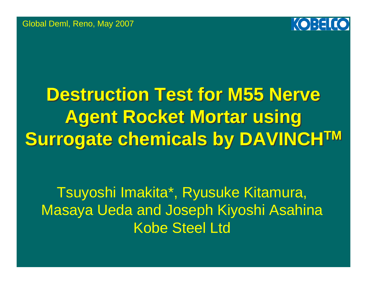Global Deml, Reno, May 2007



## **Destruction Test for M55 Nerve Destruction Test for M55 Nerve Agent Rocket Mortar using Agent Rocket Mortar using Surrogate chemicals by DAVINCHTM Surrogate chemicals by DAVINCHTM**

Tsuyoshi Imakita\*, Ryusuke Kitamura, Masaya Ueda and Joseph Kiyoshi Asahina Kobe Steel Ltd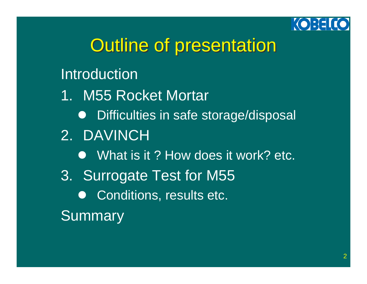

## **Outline of presentation**

#### Introduction

- 1. M55 Rocket Mortar
	- **•** Difficulties in safe storage/disposal
- 2. DAVINCH
	- What is it ? How does it work? etc.
- 3. Surrogate Test for M55
	- $\bullet$ Conditions, results etc.

**Summary**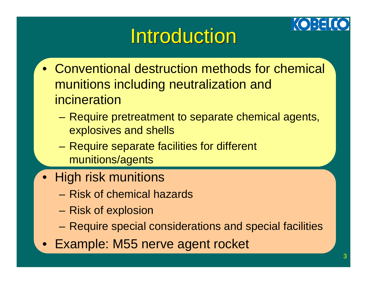# **Introduction**

- Conventional destruction methods for chemical munitions including neutralization and incineration
	- Require pretreatment to separate chemical agents, explosives and shells
	- – Require separate facilities for different munitions/agents
- High risk munitions
	- Risk of chemical hazards
	- Risk of explosion
	- Require special considerations and special facilities
- Example: M55 nerve agent rocket

**KOBELIO**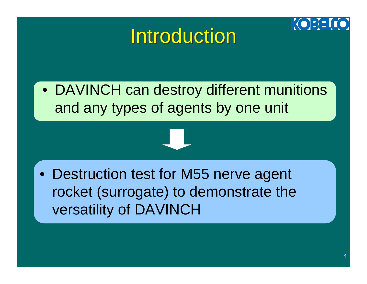## **Introduction**



• DAVINCH can destroy different munitions and any types of agents by one unit

• Destruction test for M55 nerve agent rocket (surrogate) to demonstrate the versatility of DAVINCH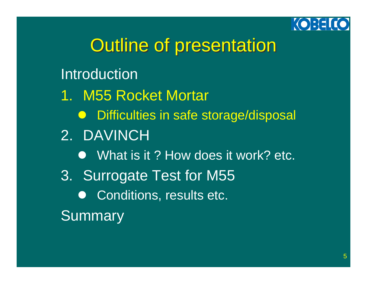

## **Outline of presentation**

### Introduction

- 1. M55 Rocket Mortar
	- **•** Difficulties in safe storage/disposal
- 2. DAVINCH
	- What is it ? How does it work? etc.
- 3. Surrogate Test for M55
	- $\bullet$ Conditions, results etc.

**Summary**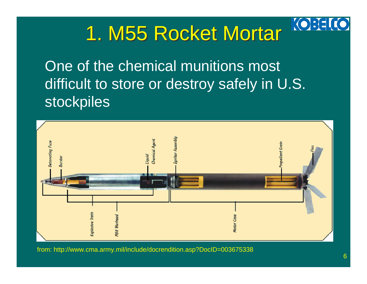

One of the chemical munitions most difficult to store or destroy safely in U.S. stockpiles



from: http://www.cma.army.mil/include/docrendition.asp?DocID=003675338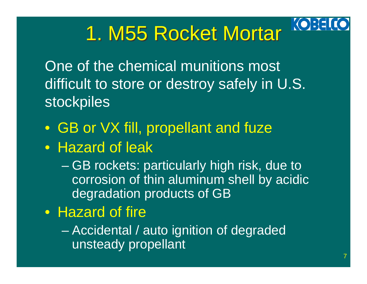

## 1. M55 Rocket Mortar

One of the chemical munitions most difficult to store or destroy safely in U.S. stockpiles

- GB or VX fill, propellant and fuze
- Hazard of leak
	- $\mathcal{L}_{\mathcal{A}}$  , where  $\mathcal{L}_{\mathcal{A}}$  is the set of the set of the set of the set of the set of the set of the set of the set of the set of the set of the set of the set of the set of the set of the set of the set of the GB rockets: particularly high risk, due to corrosion of thin aluminum shell by acidic degradation products of GB
- Hazard of fire
	- $\mathcal{L}_{\mathcal{A}}$  , where  $\mathcal{L}_{\mathcal{A}}$  is the set of the set of the set of the set of the set of the set of the set of the set of the set of the set of the set of the set of the set of the set of the set of the set of the Accidental / auto ignition of degraded unsteady propellant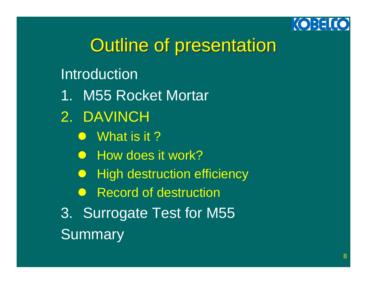

## **Outline of presentation**

#### Introduction

- 1. M55 Rocket Mortar
- 2. DAVINCH
	- $\bullet$  What is it ?
	- How does it work?
	- $\bigodot$ High destruction efficiency
	- **Record of destruction**
- 3. Surrogate Test for M55 **Summary**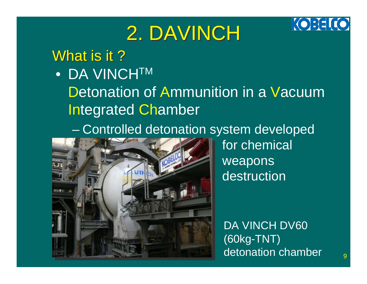### **KOBELICO**

## 2. DAVINCH

#### What is it ?  $\,$

#### $\bullet$  DA VINCH $^{\text{\tiny TM}}$

Detonation of Ammunition in a Vacuum Integrated Chamber

Controlled detonation system developed



for chemical weapons destruction

DA VINCH DV60 (60kg-TNT) detonation chamber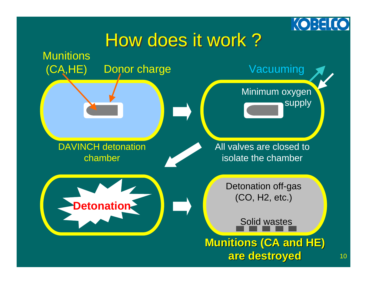

### How does it work?

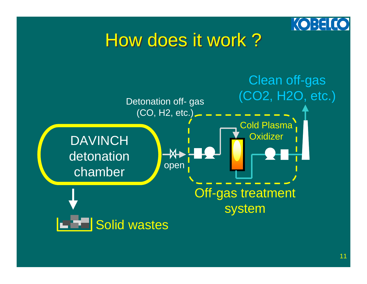

### How does it work?

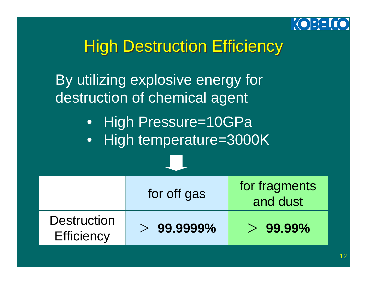

### **High Destruction Efficiency**

By utilizing explosive energy for destruction of chemical agent

• High Pressure=10GPa

• High temperature=3000K

|                                         | for off gas  | for fragments<br>and dust |
|-----------------------------------------|--------------|---------------------------|
| <b>Destruction</b><br><b>Efficiency</b> | $>99.9999\%$ | $>99.99\%$                |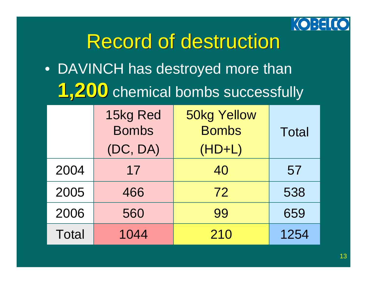

## **Record of destruction**

• DAVINCH has destroyed more than **1,200** chemical bombs successfully

|              | 15kg Red<br><b>Bombs</b><br>(DC, DA) | <b>50kg Yellow</b><br><b>Bombs</b><br>$(HD+L)$ | <b>Total</b> |
|--------------|--------------------------------------|------------------------------------------------|--------------|
| 2004         | 17                                   | 40                                             | 57           |
| 2005         | 466                                  | 72                                             | 538          |
| 2006         | 560                                  | 99                                             | 659          |
| <b>Total</b> | 1044                                 | 210                                            | 1254         |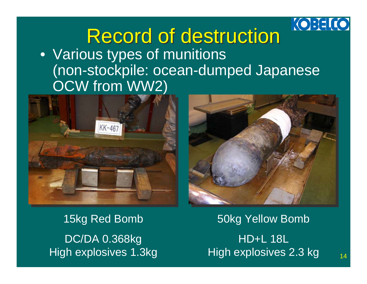

### Record of destruction Record of destruction • Various types of munitions (non-stockpile: ocean-dumped Japanese OCW from WW2)





15kg Red Bomb DC/DA 0.368kg High explosives 1.3kg

50kg Yellow Bomb HD+L 18LHigh explosives 2.3 kg

14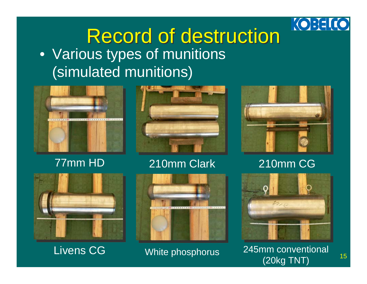

### Record of destruction Record of destruction • Various types of munitions (simulated munitions)



#### 77mm HD



#### 210mm Clark



Livens CG



#### White phosphorus



210mm CG



 245mm conventional (20kg TNT)

15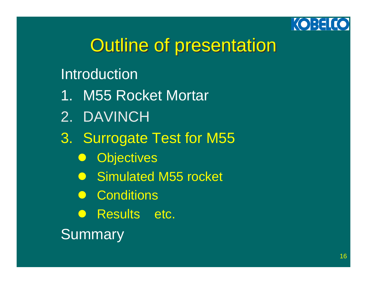

## **Outline of presentation**

#### Introduction

- 1. M55 Rocket Mortar
- 2. DAVINCH
- 3. Surrogate Test for M55
	- $\bigodot$ **Objectives**
	- **Simulated M55 rocket**
	- **Conditions**
	- **Results etc.**

**Summary**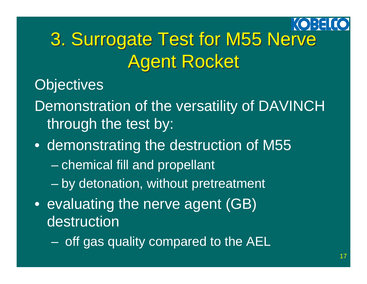### KOBEI 3. Surrogate Test for M55 Nerve 3. Surrogate Test for M55 Nerve Agent Rocket Agent Rocket

**Objectives** 

- Demonstration of the versatility of DAVINCH through the test by:
- demonstrating the destruction of M55
	- $\mathcal{L}_{\mathcal{A}}$ chemical fill and propellant
	- $\mathcal{L}_{\mathcal{A}}$  , where  $\mathcal{L}_{\mathcal{A}}$  is the set of the set of the set of the set of the set of the set of the set of the set of the set of the set of the set of the set of the set of the set of the set of the set of the by detonation, without pretreatment
- evaluating the nerve agent (GB) destruction
	- $\mathcal{L}_{\mathcal{A}}$  , where  $\mathcal{L}_{\mathcal{A}}$  is the set of the set of the set of the set of the set of the set of the set of the set of the set of the set of the set of the set of the set of the set of the set of the set of the off gas quality compared to the AEL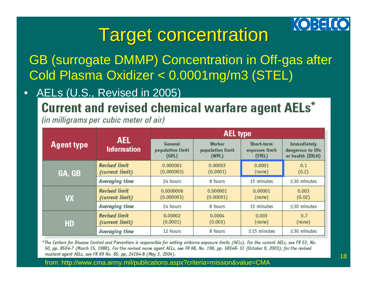

### **Target concentration**

GB (surrogate DMMP) Concentration in Off-gas after Cold Plasma Oxidizer < 0.0001mg/m3 (STEL)

•AELs (U.S., Revised in 2005)

Current and revised chemical warfare agent AELs\*

(in milligrams per cubic meter of air)

|                   | <b>AEL</b><br><b>Information</b>        | <b>AEL type</b>                      |                                     |                                        |                                                      |
|-------------------|-----------------------------------------|--------------------------------------|-------------------------------------|----------------------------------------|------------------------------------------------------|
| <b>Agent type</b> |                                         | General<br>population limit<br>(GPL) | Worker<br>population limit<br>(WPL) | Short-term<br>exposure limit<br>(STEL) | Immediately<br>dangerous to life<br>or health (IDLH) |
| GA, GB            | <b>Revised limit</b><br>(current limit) | 0.000001<br>(0.000003)               | 0.00003<br>(0.0001)                 | 0.0001<br>(none)                       | 0.1<br>(0.2)                                         |
|                   | Averaging time                          | 24 hours                             | 8 hours                             | 15 minutes                             | $\leq$ 30 minutes                                    |
| <b>VX</b>         | <b>Revised limit</b><br>(current limit) | 0.0000006<br>(0.000003)              | 0.000001<br>(0.00001)               | 0.00001<br>(none)                      | 0.003<br>(0.02)                                      |
|                   | Averaging time                          | 24 hours                             | 8 hours                             | 15 minutes                             | $\leq$ 30 minutes                                    |
| HD                | <b>Revised limit</b><br>(current limit) | 0.00002<br>(0.0001)                  | 0.0004<br>(0.003)                   | 0.003<br>(none)                        | 0.7<br>(none)                                        |
|                   | Averaging time                          | 12 hours                             | 8 hours                             | $\leq$ 15 minutes                      | $\leq$ 30 minutes                                    |

\*The Centers for Disease Control and Prevention is responsible for setting airborne exposure limits (AELs). For the current AELs, see FR 53, No. 50, pp. 8504-7 (March 15, 1988). For the revised nerve agent AELs, see FR 68, No. 196, pp. 58348- 51 (October 9, 2003); for the revised mustard agent AELs, see FR 69 No. 85, pp, 24164-8 (May 3, 2004).

from: http://www.cma.army.mil/publications.aspx?criteria=mission&value=CMA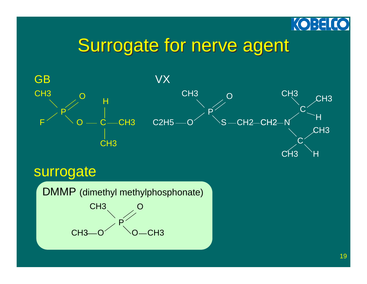

### Surrogate for nerve agent



#### surrogate

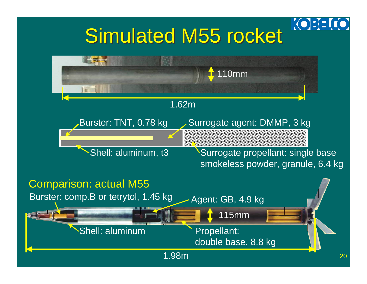## Simulated M55 rocket

**KOBEL** 

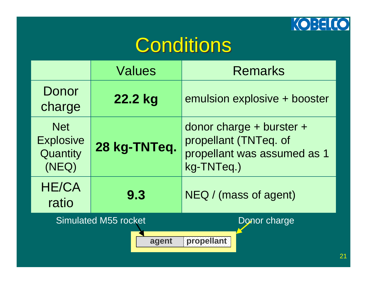

## **Conditions**

|                                                     | <b>Values</b>               | <b>Remarks</b>                                                                                     |
|-----------------------------------------------------|-----------------------------|----------------------------------------------------------------------------------------------------|
| Donor<br>charge                                     | 22.2 kg                     | emulsion explosive + booster                                                                       |
| <b>Net</b><br><b>Explosive</b><br>Quantity<br>(NEQ) | 28 kg-TNTeq.                | donor charge $+$ burster $+$<br>propellant (TNTeq. of<br>propellant was assumed as 1<br>kg-TNTeq.) |
| <b>HE/CA</b><br>ratio                               | 9.3                         | NEQ / (mass of agent)                                                                              |
|                                                     | <b>Simulated M55 rocket</b> | Donor charge                                                                                       |
|                                                     | agent                       | propellant                                                                                         |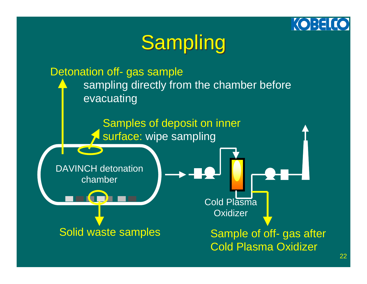#### KOBE

## Sampling

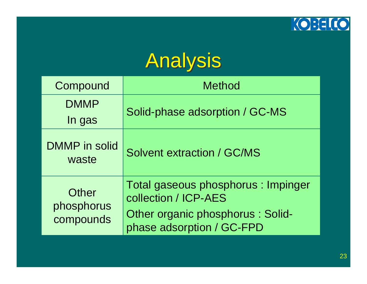

## Analysis

| Compound                         | <b>Method</b>                                                                                                                 |
|----------------------------------|-------------------------------------------------------------------------------------------------------------------------------|
| <b>DMMP</b><br>In gas            | Solid-phase adsorption / GC-MS                                                                                                |
| <b>DMMP</b> in solid<br>waste    | <b>Solvent extraction / GC/MS</b>                                                                                             |
| Other<br>phosphorus<br>compounds | Total gaseous phosphorus : Impinger<br>collection / ICP-AES<br>Other organic phosphorus : Solid-<br>phase adsorption / GC-FPD |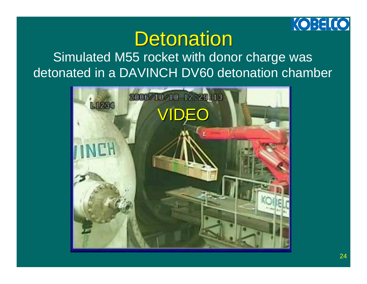

## Detonation

#### Simulated M55 rocket with donor charge was detonated in a DAVINCH DV60 detonation chamber

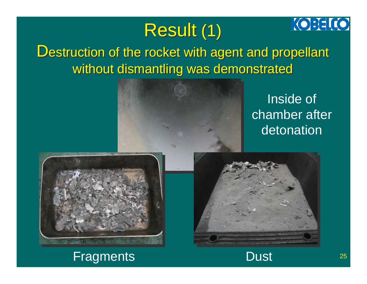## Result (1) Result (1)

### Destruction of the rocket with agent and propellant without dismantling was demonstrated without dismantling was demonstrated



Inside of chamber after detonation

**KOBELCO** 

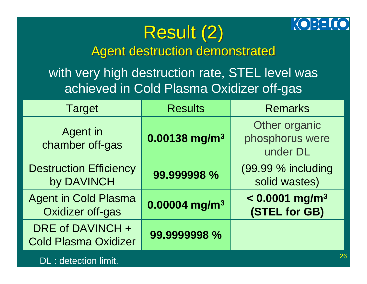#### **KOBELICO**

### Result (2) Result (2) Agent destruction demonstrated Agent destruction demonstrated

with very high destruction rate, STEL level was achieved in Cold Plasma Oxidizer off-gas

| <b>Target</b>                                          | <b>Results</b>              | <b>Remarks</b>                                |
|--------------------------------------------------------|-----------------------------|-----------------------------------------------|
| Agent in<br>chamber off-gas                            | $0.00138$ mg/m <sup>3</sup> | Other organic<br>phosphorus were<br>under DL  |
| <b>Destruction Efficiency</b><br>by DAVINCH            | 99.999998 %                 | (99.99 % including<br>solid wastes)           |
| <b>Agent in Cold Plasma</b><br><b>Oxidizer off-gas</b> | $0.00004$ mg/m <sup>3</sup> | $< 0.0001$ mg/m <sup>3</sup><br>(STEL for GB) |
| DRE of DAVINCH +<br><b>Cold Plasma Oxidizer</b>        | 99.9999998 %                |                                               |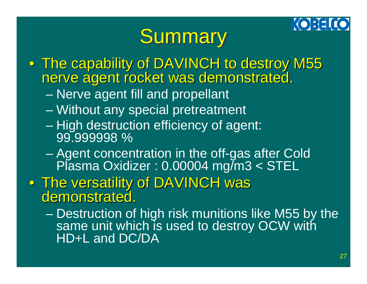#### **KOREL**

# **Summary**

- The capability of DAVINCH to destroy M55<br>nerve agent rocket was demonstrated.
	- $\mathcal{L}_{\mathcal{A}}$ Nerve agent fill and propellant
	- $\mathcal{L}_{\mathcal{A}}$ Without any special pretreatment
	- $\mathcal{L}_{\mathcal{A}}$  , where  $\mathcal{L}_{\mathcal{A}}$  is the set of the set of the set of the set of the set of the set of the set of the set of the set of the set of the set of the set of the set of the set of the set of the set of the High destruction efficiency of agent: 99.999998 %
	- $\mathcal{L}_{\mathcal{A}}$  , where  $\mathcal{L}_{\mathcal{A}}$  is the set of the set of the set of the set of the set of the set of the set of the set of the set of the set of the set of the set of the set of the set of the set of the set of the Agent concentration in the off-gas after Cold Plasma Oxidizer : 0.00004 mg/m3 < STEL
- The versatility of DAVINCH was<br>demonstrated.
	- $\mathcal{L}_{\mathcal{A}}$  , where  $\mathcal{L}_{\mathcal{A}}$  is the set of the set of the set of the set of the set of the set of the set of the set of the set of the set of the set of the set of the set of the set of the set of the set of the Destruction of high risk munitions like M55 by the same unit which is used to destroy OCW with HD+L and DC/DA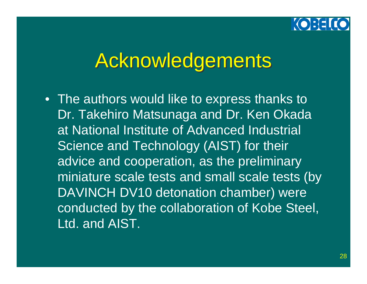

## **Acknowledgements**

• The authors would like to express thanks to Dr. Takehiro Matsunaga and Dr. Ken Okada at National Institute of Advanced Industrial Science and Technology (AIST) for their advice and cooperation, as the preliminary miniature scale tests and small scale tests (by DAVINCH DV10 detonation chamber) were conducted by the collaboration of Kobe Steel, Ltd. and AIST.